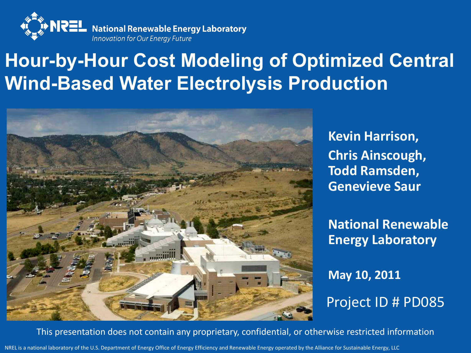

### **Hour-by-Hour Cost Modeling of Optimized Central Wind-Based Water Electrolysis Production**



**Kevin Harrison, Chris Ainscough, Todd Ramsden, Genevieve Saur**

**National Renewable Energy Laboratory**

**May 10, 2011**  Project ID # PD085

This presentation does not contain any proprietary, confidential, or otherwise restricted information

NREL is a national laboratory of the U.S. Department of Energy Office of Energy Efficiency and Renewable Energy operated by the Alliance for Sustainable Energy, LLC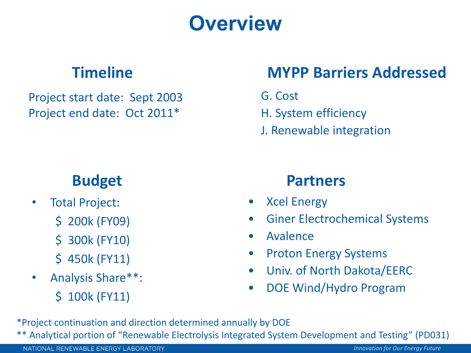# **Overview**

#### **Timeline**

Project start date: Sept 2003 Project end date: Oct 2011\*

#### **Budget**

- Total Project:
	- \$ 200k (FY09)
	- \$ 300k (FY10)
	- \$ 450k (FY11)
- Analysis Share\*\*:
	- \$ 100k (FY11)

#### **MYPP Barriers Addressed**

G. Cost

- H. System efficiency
- J. Renewable integration

#### **Partners**

- Xcel Energy
- Giner Electrochemical Systems
- Avalence
- Proton Energy Systems
- Univ. of North Dakota/EERC
- DOE Wind/Hydro Program

\*Project continuation and direction determined annually by DOE \*\* Analytical portion of "Renewable Electrolysis Integrated System Development and Testing" (PD031)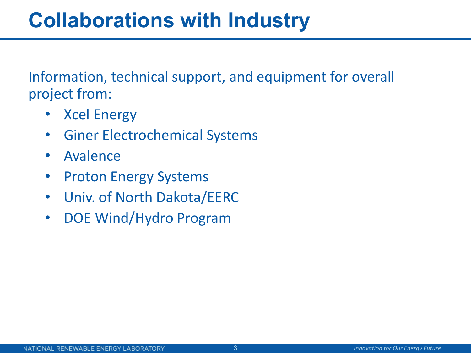# **Collaborations with Industry**

Information, technical support, and equipment for overall project from:

- Xcel Energy
- Giner Electrochemical Systems
- Avalence
- Proton Energy Systems
- Univ. of North Dakota/EERC
- DOE Wind/Hydro Program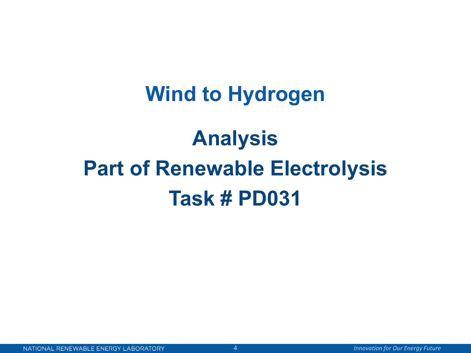### **Wind to Hydrogen**

# **Analysis Part of Renewable Electrolysis Task # PD031**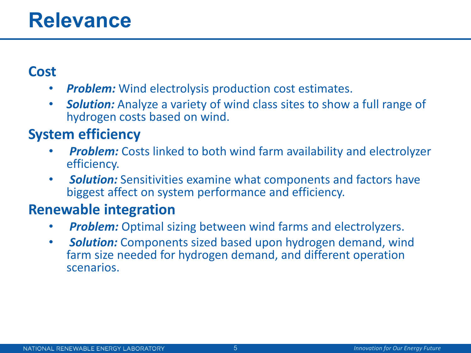### **Relevance**

#### **Cost**

- *Problem:* Wind electrolysis production cost estimates.
- *Solution:* Analyze a variety of wind class sites to show a full range of hydrogen costs based on wind.

#### **System efficiency**

- **Problem:** Costs linked to both wind farm availability and electrolyzer efficiency.
- *Solution:* Sensitivities examine what components and factors have biggest affect on system performance and efficiency.

#### **Renewable integration**

- *Problem:* Optimal sizing between wind farms and electrolyzers.
- *Solution:* Components sized based upon hydrogen demand, wind farm size needed for hydrogen demand, and different operation scenarios.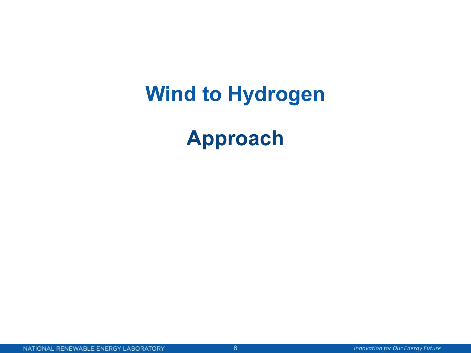# **Wind to Hydrogen**

# **Approach**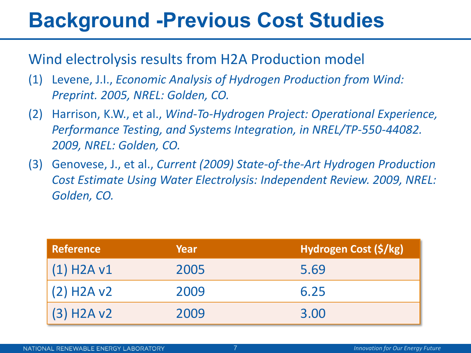# **Background -Previous Cost Studies**

Wind electrolysis results from H2A Production model

- (1) Levene, J.I., *Economic Analysis of Hydrogen Production from Wind: Preprint. 2005, NREL: Golden, CO.*
- (2) Harrison, K.W., et al., *Wind-To-Hydrogen Project: Operational Experience, Performance Testing, and Systems Integration, in NREL/TP-550-44082. 2009, NREL: Golden, CO.*
- (3) Genovese, J., et al., *Current (2009) State-of-the-Art Hydrogen Production Cost Estimate Using Water Electrolysis: Independent Review. 2009, NREL: Golden, CO.*

| <b>Reference</b> | Year | Hydrogen Cost (\$/kg) |
|------------------|------|-----------------------|
| $(1)$ H2A v1     | 2005 | 5.69                  |
| $(2)$ H2A v2     | 2009 | 6.25                  |
| $(3)$ H2A v2     | 2009 | 3.00                  |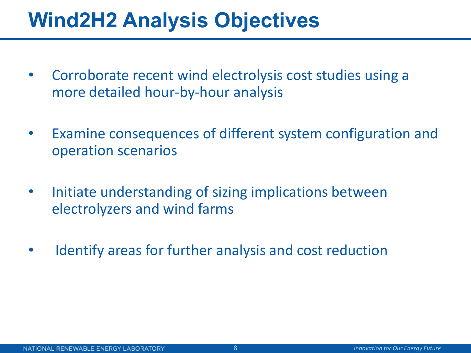# **Wind2H2 Analysis Objectives**

- Corroborate recent wind electrolysis cost studies using a more detailed hour-by-hour analysis
- Examine consequences of different system configuration and operation scenarios
- Initiate understanding of sizing implications between electrolyzers and wind farms
- Identify areas for further analysis and cost reduction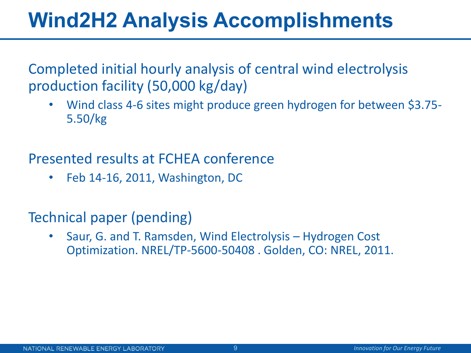# **Wind2H2 Analysis Accomplishments**

Completed initial hourly analysis of central wind electrolysis production facility (50,000 kg/day)

• Wind class 4-6 sites might produce green hydrogen for between \$3.75- 5.50/kg

Presented results at FCHEA conference

• Feb 14-16, 2011, Washington, DC

Technical paper (pending)

• Saur, G. and T. Ramsden, Wind Electrolysis – Hydrogen Cost Optimization. NREL/TP-5600-50408 . Golden, CO: NREL, 2011.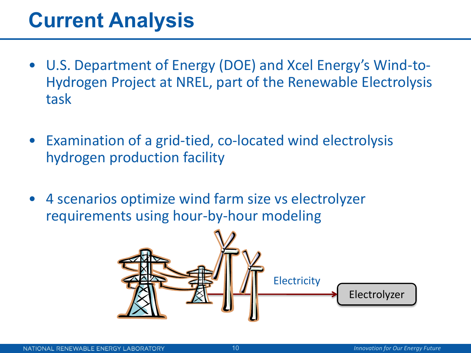# **Current Analysis**

- U.S. Department of Energy (DOE) and Xcel Energy's Wind-to-Hydrogen Project at NREL, part of the Renewable Electrolysis task
- Examination of a grid-tied, co-located wind electrolysis hydrogen production facility
- 4 scenarios optimize wind farm size vs electrolyzer requirements using hour-by-hour modeling

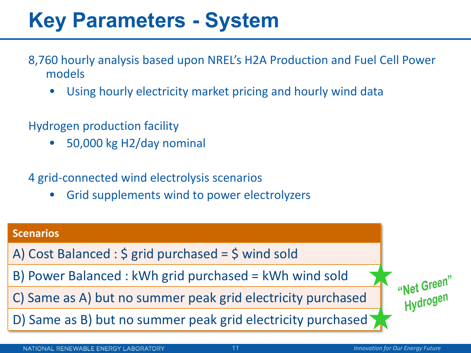# **Key Parameters - System**

- 8,760 hourly analysis based upon NREL's H2A Production and Fuel Cell Power models
	- Using hourly electricity market pricing and hourly wind data
- Hydrogen production facility
	- 50,000 kg H2/day nominal
- 4 grid-connected wind electrolysis scenarios
	- Grid supplements wind to power electrolyzers

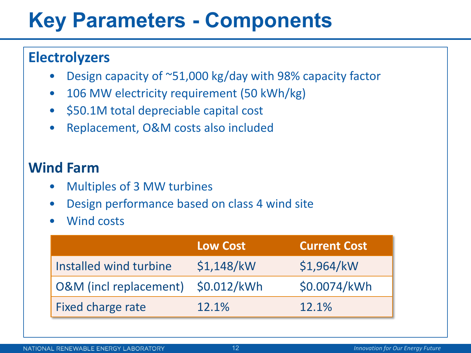# **Key Parameters - Components**

#### **Electrolyzers**

- Design capacity of  $\sim$ 51,000 kg/day with 98% capacity factor
- 106 MW electricity requirement (50 kWh/kg)
- \$50.1M total depreciable capital cost
- Replacement, O&M costs also included

#### **Wind Farm**

- Multiples of 3 MW turbines
- Design performance based on class 4 wind site
- Wind costs

|                                   | <b>Low Cost</b> | <b>Current Cost</b> |
|-----------------------------------|-----------------|---------------------|
| Installed wind turbine            | \$1,148/kW      | \$1,964/kW          |
| <b>O&amp;M</b> (incl replacement) | \$0.012/kWh     | \$0.0074/kWh        |
| Fixed charge rate                 | 12.1%           | 12.1%               |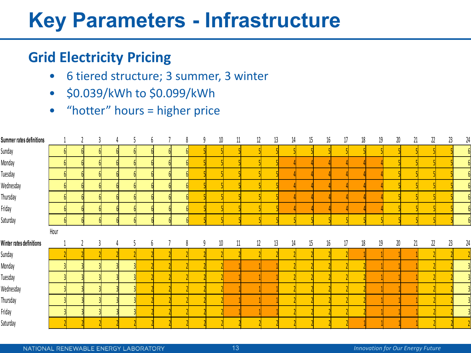# **Key Parameters - Infrastructure**

#### **Grid Electricity Pricing**

- 6 tiered structure; 3 summer, 3 winter
- \$0.039/kWh to \$0.099/kWh
- "hotter" hours = higher price

| <b>Summer rates definitions</b> |                |  |  | D | 8               |   | 10<br>9 | 11 | 12 | 13 | 14 | 15 | 16     | 17 | 18 | 19 | 20     | 21 | 22 | 23 | 24 |
|---------------------------------|----------------|--|--|---|-----------------|---|---------|----|----|----|----|----|--------|----|----|----|--------|----|----|----|----|
| Sunday                          | 6 <sup>1</sup> |  |  |   | $\overline{6}$  |   |         |    |    |    |    |    |        |    |    |    |        |    |    |    |    |
| Monday                          | 6              |  |  |   |                 |   |         |    |    |    |    |    |        |    |    |    |        |    |    |    |    |
| Tuesday                         |                |  |  |   | $\overline{6}$  |   |         |    |    |    |    |    |        |    |    |    |        |    |    |    |    |
| Wednesday                       | 6 <sup>1</sup> |  |  |   |                 |   |         |    |    |    |    |    |        |    |    |    |        |    |    |    |    |
| Thursday                        | $\overline{6}$ |  |  |   | $6\overline{6}$ |   |         |    |    |    |    |    |        |    |    |    |        |    |    |    |    |
| Friday                          | ĥ              |  |  |   | $\mathsf{6}$    |   |         |    |    |    |    |    |        |    |    |    |        |    |    |    |    |
| Saturday                        | 6 <sup>1</sup> |  |  |   |                 | ĥ |         |    |    |    |    |    |        |    |    |    |        |    |    |    |    |
|                                 | Hour           |  |  |   |                 |   |         |    |    |    |    |    |        |    |    |    |        |    |    |    |    |
| Winter rates definitions        |                |  |  |   | 8               |   | 10<br>9 | 11 | 12 | 13 | 14 | 15 | $16\,$ | 17 | 18 | 19 | $20\,$ | 21 | 22 | 23 | 24 |
| Sunday                          |                |  |  |   |                 |   |         |    |    |    |    |    |        |    |    |    |        |    |    |    |    |
| Monday                          |                |  |  |   |                 |   |         |    |    |    |    |    |        |    |    |    |        |    |    |    |    |
|                                 |                |  |  |   |                 |   |         |    |    |    |    |    |        |    |    |    |        |    |    |    |    |
| Tuesday                         |                |  |  |   |                 |   |         |    |    |    |    |    |        |    |    |    |        |    |    |    |    |
| Wednesday                       |                |  |  |   |                 |   |         |    |    |    |    |    |        |    |    |    |        |    |    |    |    |
| Thursday                        |                |  |  |   |                 |   |         |    |    |    |    |    |        |    |    |    |        |    |    |    |    |
| Friday                          |                |  |  |   |                 |   |         |    |    |    |    |    |        |    |    |    |        |    |    |    |    |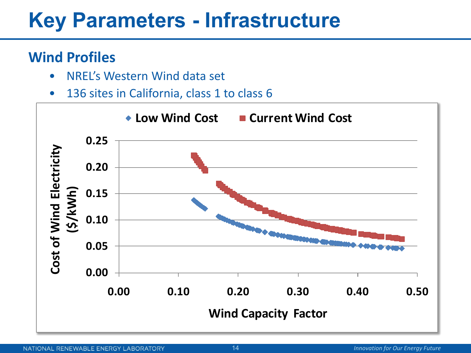# **Key Parameters - Infrastructure**

#### **Wind Profiles**

- NREL's Western Wind data set
- 136 sites in California, class 1 to class 6

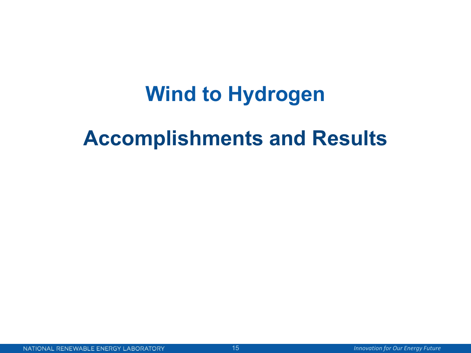# **Wind to Hydrogen**

### **Accomplishments and Results**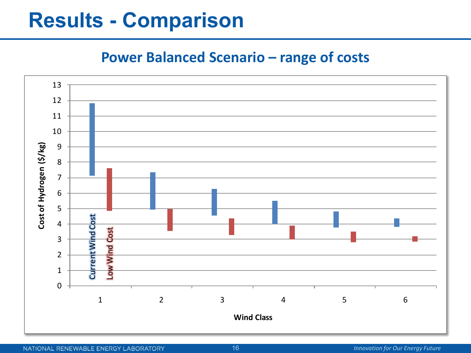### **Results - Comparison**

#### **Power Balanced Scenario – range of costs**

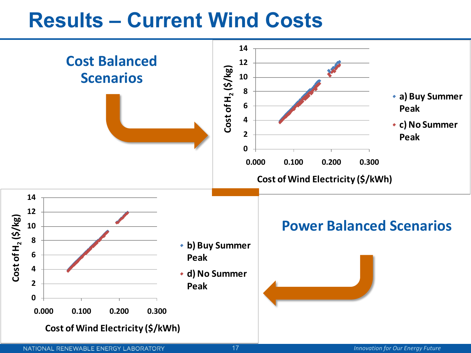### **Results – Current Wind Costs**

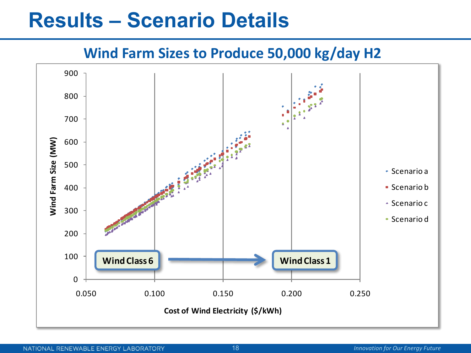### **Results – Scenario Details**

#### **Wind Farm Sizes to Produce 50,000 kg/day H2**

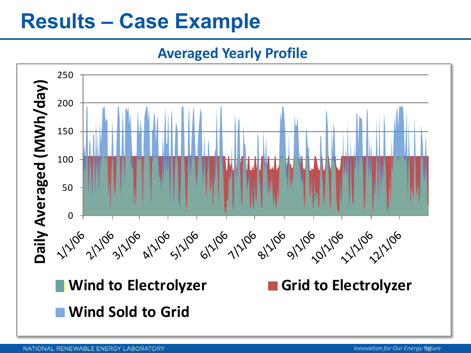# **Results – Case Example**

**Averaged Yearly Profile**



NATIONAL RENEWABLE ENERGY LABORATORY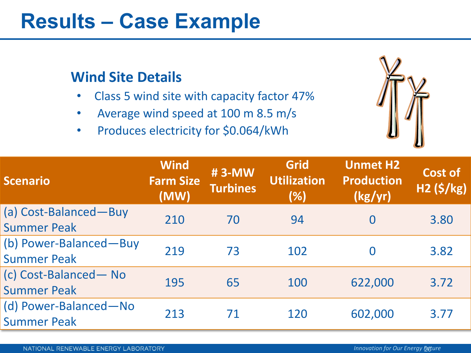### **Results – Case Example**

#### **Wind Site Details**

- Class 5 wind site with capacity factor 47%
- Average wind speed at 100 m 8.5 m/s
- Produces electricity for \$0.064/kWh



| <b>Scenario</b>        | <b>Wind</b><br><b>Farm Size</b><br>(MW) | #3-MW<br><b>Turbines</b> | <b>Grid</b><br><b>Utilization</b><br>(% ) | <b>Unmet H2</b><br><b>Production</b><br>(kg/yr) | Cost of<br><b>H2 (\$/kg)</b> |
|------------------------|-----------------------------------------|--------------------------|-------------------------------------------|-------------------------------------------------|------------------------------|
| (a) Cost-Balanced-Buy  | 210                                     | 70                       | 94                                        | 0                                               | 3.80                         |
| <b>Summer Peak</b>     |                                         |                          |                                           |                                                 |                              |
| (b) Power-Balanced-Buy | 219                                     | 73                       | 102                                       | 0                                               | 3.82                         |
| <b>Summer Peak</b>     |                                         |                          |                                           |                                                 |                              |
| (c) Cost-Balanced-No   | 195                                     | 65                       | 100                                       | 622,000                                         | 3.72                         |
| <b>Summer Peak</b>     |                                         |                          |                                           |                                                 |                              |
| (d) Power-Balanced-No  | 213                                     | 71                       | 120                                       | 602,000                                         | 3.77                         |
| <b>Summer Peak</b>     |                                         |                          |                                           |                                                 |                              |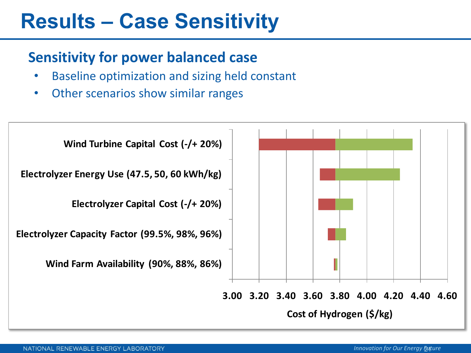# **Results – Case Sensitivity**

#### **Sensitivity for power balanced case**

- Baseline optimization and sizing held constant
- Other scenarios show similar ranges

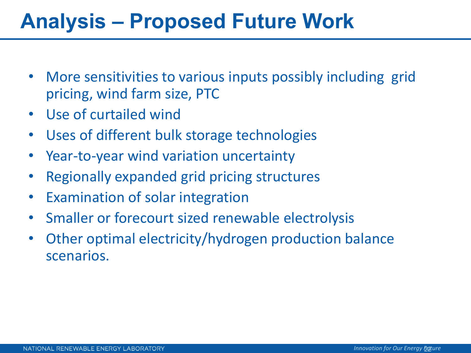# **Analysis – Proposed Future Work**

- More sensitivities to various inputs possibly including grid pricing, wind farm size, PTC
- Use of curtailed wind
- Uses of different bulk storage technologies
- Year-to-year wind variation uncertainty
- Regionally expanded grid pricing structures
- Examination of solar integration
- Smaller or forecourt sized renewable electrolysis
- Other optimal electricity/hydrogen production balance scenarios.